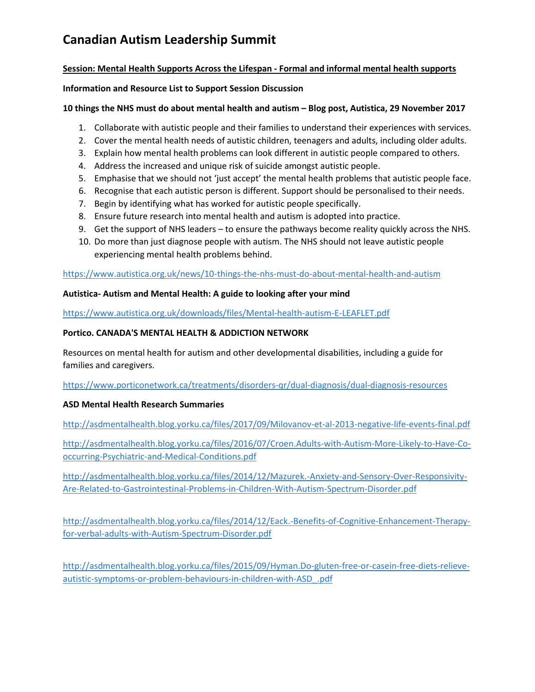## **Canadian Autism Leadership Summit**

#### **Session: Mental Health Supports Across the Lifespan - Formal and informal mental health supports**

#### **Information and Resource List to Support Session Discussion**

#### **10 things the NHS must do about mental health and autism – Blog post, Autistica, 29 November 2017**

- 1. Collaborate with autistic people and their families to understand their experiences with services.
- 2. Cover the mental health needs of autistic children, teenagers and adults, including older adults.
- 3. Explain how mental health problems can look different in autistic people compared to others.
- 4. Address the increased and unique risk of suicide amongst autistic people.
- 5. Emphasise that we should not 'just accept' the mental health problems that autistic people face.
- 6. Recognise that each autistic person is different. Support should be personalised to their needs.
- 7. Begin by identifying what has worked for autistic people specifically.
- 8. Ensure future research into mental health and autism is adopted into practice.
- 9. Get the support of NHS leaders to ensure the pathways become reality quickly across the NHS.
- 10. Do more than just diagnose people with autism. The NHS should not leave autistic people experiencing mental health problems behind.

<https://www.autistica.org.uk/news/10-things-the-nhs-must-do-about-mental-health-and-autism>

#### **Autistica- Autism and Mental Health: A guide to looking after your mind**

<https://www.autistica.org.uk/downloads/files/Mental-health-autism-E-LEAFLET.pdf>

#### **Portico. CANADA'S MENTAL HEALTH & ADDICTION NETWORK**

Resources on mental health for autism and other developmental disabilities, including a guide for families and caregivers.

<https://www.porticonetwork.ca/treatments/disorders-qr/dual-diagnosis/dual-diagnosis-resources>

### **ASD Mental Health Research Summaries**

<http://asdmentalhealth.blog.yorku.ca/files/2017/09/Milovanov-et-al-2013-negative-life-events-final.pdf>

[http://asdmentalhealth.blog.yorku.ca/files/2016/07/Croen.Adults-with-Autism-More-Likely-to-Have-Co](http://asdmentalhealth.blog.yorku.ca/files/2016/07/Croen.Adults-with-Autism-More-Likely-to-Have-Co-occurring-Psychiatric-and-Medical-Conditions.pdf)[occurring-Psychiatric-and-Medical-Conditions.pdf](http://asdmentalhealth.blog.yorku.ca/files/2016/07/Croen.Adults-with-Autism-More-Likely-to-Have-Co-occurring-Psychiatric-and-Medical-Conditions.pdf)

[http://asdmentalhealth.blog.yorku.ca/files/2014/12/Mazurek.-Anxiety-and-Sensory-Over-Responsivity-](http://asdmentalhealth.blog.yorku.ca/files/2014/12/Mazurek.-Anxiety-and-Sensory-Over-Responsivity-Are-Related-to-Gastrointestinal-Problems-in-Children-With-Autism-Spectrum-Disorder.pdf)[Are-Related-to-Gastrointestinal-Problems-in-Children-With-Autism-Spectrum-Disorder.pdf](http://asdmentalhealth.blog.yorku.ca/files/2014/12/Mazurek.-Anxiety-and-Sensory-Over-Responsivity-Are-Related-to-Gastrointestinal-Problems-in-Children-With-Autism-Spectrum-Disorder.pdf)

[http://asdmentalhealth.blog.yorku.ca/files/2014/12/Eack.-Benefits-of-Cognitive-Enhancement-Therapy](http://asdmentalhealth.blog.yorku.ca/files/2014/12/Eack.-Benefits-of-Cognitive-Enhancement-Therapy-for-verbal-adults-with-Autism-Spectrum-Disorder.pdf)[for-verbal-adults-with-Autism-Spectrum-Disorder.pdf](http://asdmentalhealth.blog.yorku.ca/files/2014/12/Eack.-Benefits-of-Cognitive-Enhancement-Therapy-for-verbal-adults-with-Autism-Spectrum-Disorder.pdf)

[http://asdmentalhealth.blog.yorku.ca/files/2015/09/Hyman.Do-gluten-free-or-casein-free-diets-relieve](http://asdmentalhealth.blog.yorku.ca/files/2015/09/Hyman.Do-gluten-free-or-casein-free-diets-relieve-autistic-symptoms-or-problem-behaviours-in-children-with-ASD_.pdf)[autistic-symptoms-or-problem-behaviours-in-children-with-ASD\\_.pdf](http://asdmentalhealth.blog.yorku.ca/files/2015/09/Hyman.Do-gluten-free-or-casein-free-diets-relieve-autistic-symptoms-or-problem-behaviours-in-children-with-ASD_.pdf)